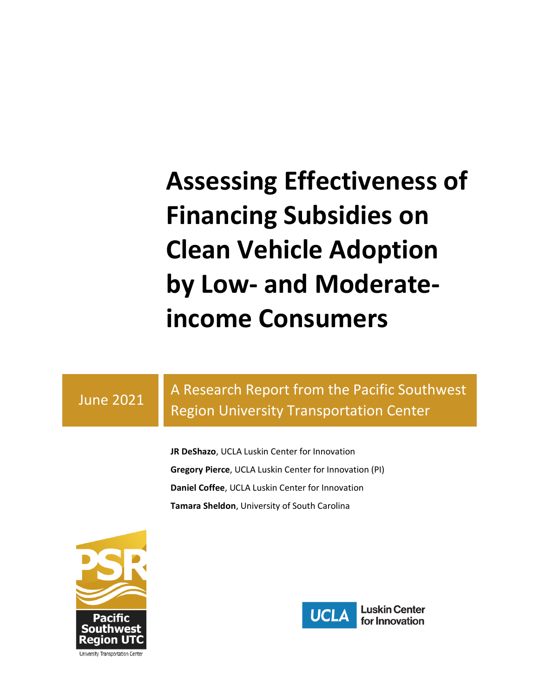# **Assessing Effectiveness of Financing Subsidies on Clean Vehicle Adoption by Low- and Moderateincome Consumers**

#### June 2021

## A Research Report from the Pacific Southwest Region University Transportation Center

**JR DeShazo**, UCLA Luskin Center for Innovation **Gregory Pierce**, UCLA Luskin Center for Innovation (PI) **Daniel Coffee**, UCLA Luskin Center for Innovation **Tamara Sheldon**, University of South Carolina



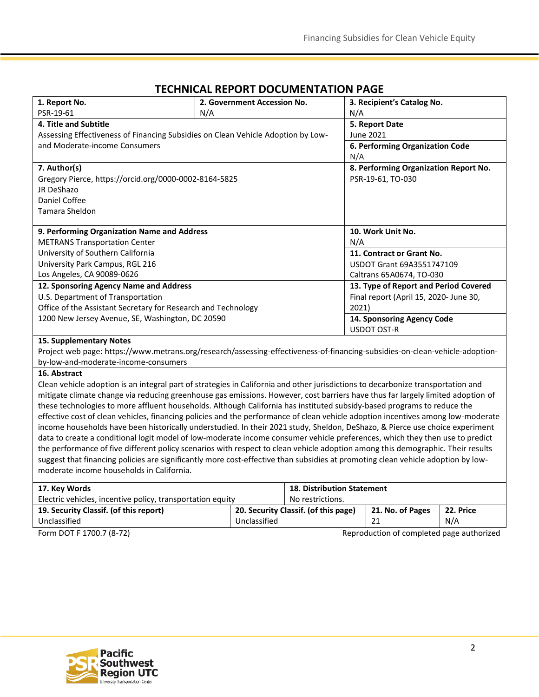| 1. Report No.                                                                                                                    | 2. Government Accession No. |                                   | 3. Recipient's Catalog No.             |  |  |
|----------------------------------------------------------------------------------------------------------------------------------|-----------------------------|-----------------------------------|----------------------------------------|--|--|
| PSR-19-61                                                                                                                        | N/A                         |                                   | N/A                                    |  |  |
| 4. Title and Subtitle                                                                                                            |                             |                                   | 5. Report Date                         |  |  |
| Assessing Effectiveness of Financing Subsidies on Clean Vehicle Adoption by Low-                                                 |                             |                                   | June 2021                              |  |  |
| and Moderate-income Consumers                                                                                                    |                             |                                   | 6. Performing Organization Code        |  |  |
|                                                                                                                                  |                             |                                   | N/A                                    |  |  |
| 7. Author(s)                                                                                                                     |                             |                                   | 8. Performing Organization Report No.  |  |  |
| Gregory Pierce, https://orcid.org/0000-0002-8164-5825                                                                            |                             |                                   | PSR-19-61, TO-030                      |  |  |
| JR DeShazo                                                                                                                       |                             |                                   |                                        |  |  |
| <b>Daniel Coffee</b>                                                                                                             |                             |                                   |                                        |  |  |
| Tamara Sheldon                                                                                                                   |                             |                                   |                                        |  |  |
|                                                                                                                                  |                             |                                   |                                        |  |  |
| 9. Performing Organization Name and Address                                                                                      |                             |                                   | 10. Work Unit No.                      |  |  |
| <b>METRANS Transportation Center</b>                                                                                             |                             |                                   | N/A                                    |  |  |
| University of Southern California                                                                                                |                             |                                   | 11. Contract or Grant No.              |  |  |
| University Park Campus, RGL 216                                                                                                  |                             |                                   | USDOT Grant 69A3551747109              |  |  |
| Los Angeles, CA 90089-0626                                                                                                       |                             |                                   | Caltrans 65A0674, TO-030               |  |  |
| 12. Sponsoring Agency Name and Address                                                                                           |                             |                                   | 13. Type of Report and Period Covered  |  |  |
| U.S. Department of Transportation                                                                                                |                             |                                   | Final report (April 15, 2020- June 30, |  |  |
| Office of the Assistant Secretary for Research and Technology                                                                    |                             |                                   | 2021)                                  |  |  |
| 1200 New Jersey Avenue, SE, Washington, DC 20590                                                                                 |                             |                                   | 14. Sponsoring Agency Code             |  |  |
|                                                                                                                                  |                             |                                   | <b>USDOT OST-R</b>                     |  |  |
| <b>15. Supplementary Notes</b>                                                                                                   |                             |                                   |                                        |  |  |
| Project web page: https://www.metrans.org/research/assessing-effectiveness-of-financing-subsidies-on-clean-vehicle-adoption-     |                             |                                   |                                        |  |  |
| by-low-and-moderate-income-consumers                                                                                             |                             |                                   |                                        |  |  |
| 16. Abstract                                                                                                                     |                             |                                   |                                        |  |  |
| Clean vehicle adoption is an integral part of strategies in California and other jurisdictions to decarbonize transportation and |                             |                                   |                                        |  |  |
| mitigate climate change via reducing greenhouse gas emissions. However, cost barriers have thus far largely limited adoption of  |                             |                                   |                                        |  |  |
| these technologies to more affluent households. Although California has instituted subsidy-based programs to reduce the          |                             |                                   |                                        |  |  |
| effective cost of clean vehicles, financing policies and the performance of clean vehicle adoption incentives among low-moderate |                             |                                   |                                        |  |  |
| income households have been historically understudied. In their 2021 study, Sheldon, DeShazo, & Pierce use choice experiment     |                             |                                   |                                        |  |  |
| data to create a conditional logit model of low-moderate income consumer vehicle preferences, which they then use to predict     |                             |                                   |                                        |  |  |
| the performance of five different policy scenarios with respect to clean vehicle adoption among this demographic. Their results  |                             |                                   |                                        |  |  |
| suggest that financing policies are significantly more cost-effective than subsidies at promoting clean vehicle adoption by low- |                             |                                   |                                        |  |  |
| moderate income households in California.                                                                                        |                             |                                   |                                        |  |  |
|                                                                                                                                  |                             |                                   |                                        |  |  |
| 17. Key Words                                                                                                                    |                             | <b>18. Distribution Statement</b> |                                        |  |  |

#### **TECHNICAL REPORT DOCUMENTATION PAGE**

Electric vehicles, incentive policy, transportation equity No restrictions. **19. Security Classif. (of this report)** Unclassified **20. Security Classif. (of this page)** Unclassified **21. No. of Pages** 21 Form DOT F 1700.7 (8-72) Reproduction of completed page authorized



**22. Price** N/A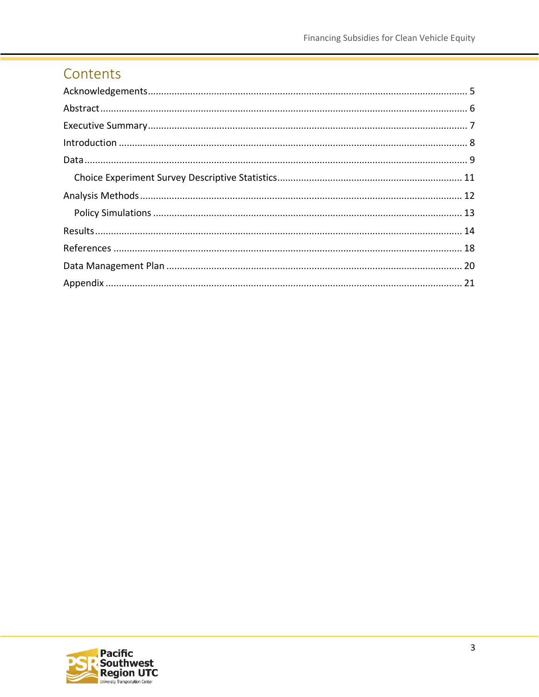## Contents

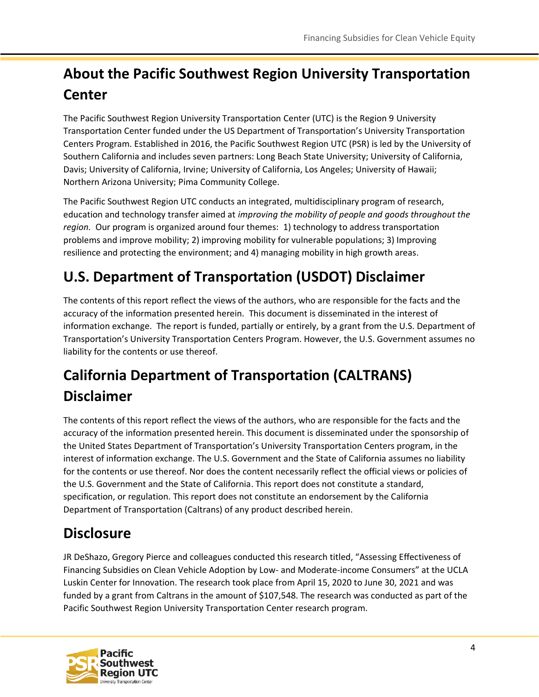## **About the Pacific Southwest Region University Transportation Center**

The Pacific Southwest Region University Transportation Center (UTC) is the Region 9 University Transportation Center funded under the US Department of Transportation's University Transportation Centers Program. Established in 2016, the Pacific Southwest Region UTC (PSR) is led by the University of Southern California and includes seven partners: Long Beach State University; University of California, Davis; University of California, Irvine; University of California, Los Angeles; University of Hawaii; Northern Arizona University; Pima Community College.

The Pacific Southwest Region UTC conducts an integrated, multidisciplinary program of research, education and technology transfer aimed at *improving the mobility of people and goods throughout the region.* Our program is organized around four themes: 1) technology to address transportation problems and improve mobility; 2) improving mobility for vulnerable populations; 3) Improving resilience and protecting the environment; and 4) managing mobility in high growth areas.

## **U.S. Department of Transportation (USDOT) Disclaimer**

The contents of this report reflect the views of the authors, who are responsible for the facts and the accuracy of the information presented herein. This document is disseminated in the interest of information exchange. The report is funded, partially or entirely, by a grant from the U.S. Department of Transportation's University Transportation Centers Program. However, the U.S. Government assumes no liability for the contents or use thereof.

## **California Department of Transportation (CALTRANS) Disclaimer**

The contents of this report reflect the views of the authors, who are responsible for the facts and the accuracy of the information presented herein. This document is disseminated under the sponsorship of the United States Department of Transportation's University Transportation Centers program, in the interest of information exchange. The U.S. Government and the State of California assumes no liability for the contents or use thereof. Nor does the content necessarily reflect the official views or policies of the U.S. Government and the State of California. This report does not constitute a standard, specification, or regulation. This report does not constitute an endorsement by the California Department of Transportation (Caltrans) of any product described herein.

## **Disclosure**

JR DeShazo, Gregory Pierce and colleagues conducted this research titled, "Assessing Effectiveness of Financing Subsidies on Clean Vehicle Adoption by Low- and Moderate-income Consumers" at the UCLA Luskin Center for Innovation. The research took place from April 15, 2020 to June 30, 2021 and was funded by a grant from Caltrans in the amount of \$107,548. The research was conducted as part of the Pacific Southwest Region University Transportation Center research program.

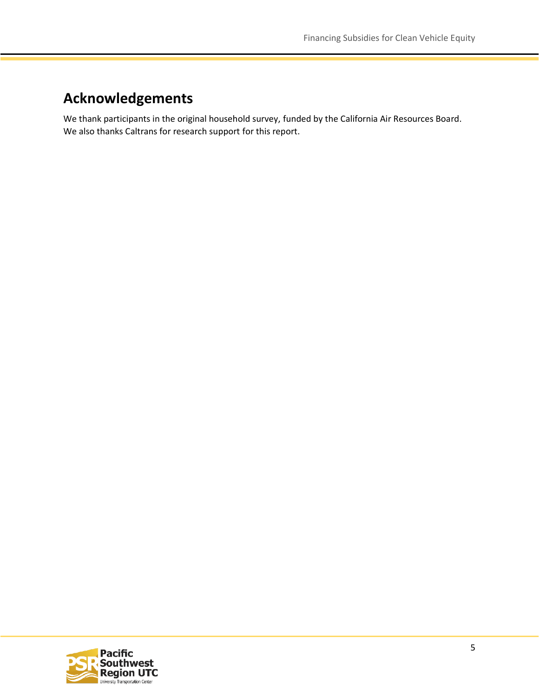### <span id="page-4-0"></span>**Acknowledgements**

We thank participants in the original household survey, funded by the California Air Resources Board. We also thanks Caltrans for research support for this report.

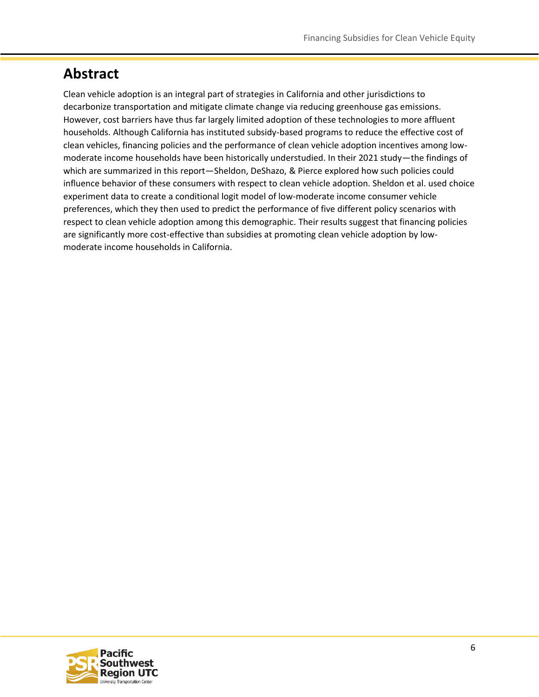### <span id="page-5-0"></span>**Abstract**

Clean vehicle adoption is an integral part of strategies in California and other jurisdictions to decarbonize transportation and mitigate climate change via reducing greenhouse gas emissions. However, cost barriers have thus far largely limited adoption of these technologies to more affluent households. Although California has instituted subsidy-based programs to reduce the effective cost of clean vehicles, financing policies and the performance of clean vehicle adoption incentives among lowmoderate income households have been historically understudied. In their 2021 study—the findings of which are summarized in this report—Sheldon, DeShazo, & Pierce explored how such policies could influence behavior of these consumers with respect to clean vehicle adoption. Sheldon et al. used choice experiment data to create a conditional logit model of low-moderate income consumer vehicle preferences, which they then used to predict the performance of five different policy scenarios with respect to clean vehicle adoption among this demographic. Their results suggest that financing policies are significantly more cost-effective than subsidies at promoting clean vehicle adoption by lowmoderate income households in California.

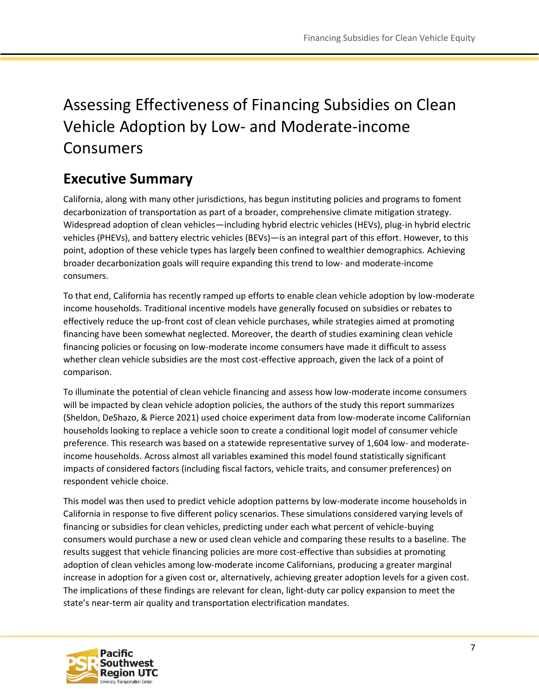## Assessing Effectiveness of Financing Subsidies on Clean Vehicle Adoption by Low- and Moderate-income Consumers

## <span id="page-6-0"></span>**Executive Summary**

California, along with many other jurisdictions, has begun instituting policies and programs to foment decarbonization of transportation as part of a broader, comprehensive climate mitigation strategy. Widespread adoption of clean vehicles—including hybrid electric vehicles (HEVs), plug-in hybrid electric vehicles (PHEVs), and battery electric vehicles (BEVs)—is an integral part of this effort. However, to this point, adoption of these vehicle types has largely been confined to wealthier demographics. Achieving broader decarbonization goals will require expanding this trend to low- and moderate-income consumers.

To that end, California has recently ramped up efforts to enable clean vehicle adoption by low-moderate income households. Traditional incentive models have generally focused on subsidies or rebates to effectively reduce the up-front cost of clean vehicle purchases, while strategies aimed at promoting financing have been somewhat neglected. Moreover, the dearth of studies examining clean vehicle financing policies or focusing on low-moderate income consumers have made it difficult to assess whether clean vehicle subsidies are the most cost-effective approach, given the lack of a point of comparison.

To illuminate the potential of clean vehicle financing and assess how low-moderate income consumers will be impacted by clean vehicle adoption policies, the authors of the study this report summarizes (Sheldon, DeShazo, & Pierce 2021) used choice experiment data from low-moderate income Californian households looking to replace a vehicle soon to create a conditional logit model of consumer vehicle preference. This research was based on a statewide representative survey of 1,604 low- and moderateincome households. Across almost all variables examined this model found statistically significant impacts of considered factors (including fiscal factors, vehicle traits, and consumer preferences) on respondent vehicle choice.

This model was then used to predict vehicle adoption patterns by low-moderate income households in California in response to five different policy scenarios. These simulations considered varying levels of financing or subsidies for clean vehicles, predicting under each what percent of vehicle-buying consumers would purchase a new or used clean vehicle and comparing these results to a baseline. The results suggest that vehicle financing policies are more cost-effective than subsidies at promoting adoption of clean vehicles among low-moderate income Californians, producing a greater marginal increase in adoption for a given cost or, alternatively, achieving greater adoption levels for a given cost. The implications of these findings are relevant for clean, light-duty car policy expansion to meet the state's near-term air quality and transportation electrification mandates.

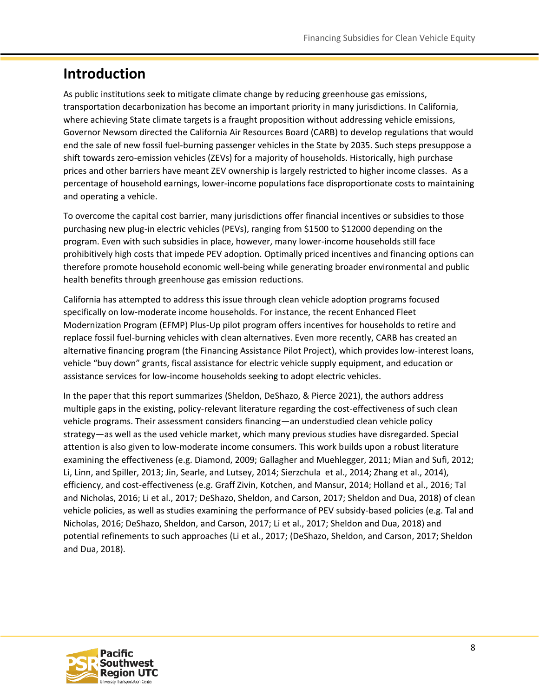### <span id="page-7-0"></span>**Introduction**

As public institutions seek to mitigate climate change by reducing greenhouse gas emissions, transportation decarbonization has become an important priority in many jurisdictions. In California, where achieving State climate targets is a fraught proposition without addressing vehicle emissions, Governor Newsom directed the California Air Resources Board (CARB) to develop regulations that would end the sale of new fossil fuel-burning passenger vehicles in the State by 2035. Such steps presuppose a shift towards zero-emission vehicles (ZEVs) for a majority of households. Historically, high purchase prices and other barriers have meant ZEV ownership is largely restricted to higher income classes. As a percentage of household earnings, lower-income populations face disproportionate costs to maintaining and operating a vehicle.

To overcome the capital cost barrier, many jurisdictions offer financial incentives or subsidies to those purchasing new plug-in electric vehicles (PEVs), ranging from \$1500 to \$12000 depending on the program. Even with such subsidies in place, however, many lower-income households still face prohibitively high costs that impede PEV adoption. Optimally priced incentives and financing options can therefore promote household economic well-being while generating broader environmental and public health benefits through greenhouse gas emission reductions.

California has attempted to address this issue through clean vehicle adoption programs focused specifically on low-moderate income households. For instance, the recent Enhanced Fleet Modernization Program (EFMP) Plus-Up pilot program offers incentives for households to retire and replace fossil fuel-burning vehicles with clean alternatives. Even more recently, CARB has created an alternative financing program (the Financing Assistance Pilot Project), which provides low-interest loans, vehicle "buy down" grants, fiscal assistance for electric vehicle supply equipment, and education or assistance services for low-income households seeking to adopt electric vehicles.

In the paper that this report summarizes (Sheldon, DeShazo, & Pierce 2021), the authors address multiple gaps in the existing, policy-relevant literature regarding the cost-effectiveness of such clean vehicle programs. Their assessment considers financing—an understudied clean vehicle policy strategy—as well as the used vehicle market, which many previous studies have disregarded. Special attention is also given to low-moderate income consumers. This work builds upon a robust literature examining the effectiveness (e.g. Diamond, 2009; Gallagher and Muehlegger, 2011; Mian and Sufi, 2012; Li, Linn, and Spiller, 2013; Jin, Searle, and Lutsey, 2014; Sierzchula et al., 2014; Zhang et al., 2014), efficiency, and cost-effectiveness (e.g. Graff Zivin, Kotchen, and Mansur, 2014; Holland et al., 2016; Tal and Nicholas, 2016; Li et al., 2017; DeShazo, Sheldon, and Carson, 2017; Sheldon and Dua, 2018) of clean vehicle policies, as well as studies examining the performance of PEV subsidy-based policies (e.g. Tal and Nicholas, 2016; DeShazo, Sheldon, and Carson, 2017; Li et al., 2017; Sheldon and Dua, 2018) and potential refinements to such approaches (Li et al., 2017; (DeShazo, Sheldon, and Carson, 2017; Sheldon and Dua, 2018).

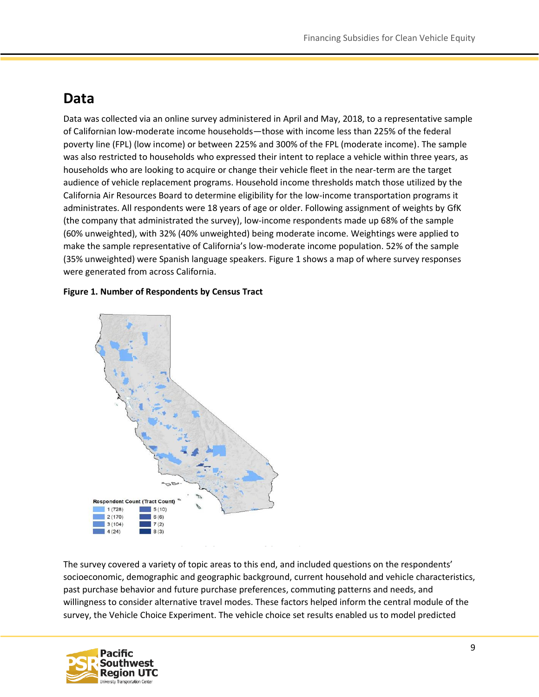### <span id="page-8-0"></span>**Data**

Data was collected via an online survey administered in April and May, 2018, to a representative sample of Californian low-moderate income households—those with income less than 225% of the federal poverty line (FPL) (low income) or between 225% and 300% of the FPL (moderate income). The sample was also restricted to households who expressed their intent to replace a vehicle within three years, as households who are looking to acquire or change their vehicle fleet in the near-term are the target audience of vehicle replacement programs. Household income thresholds match those utilized by the California Air Resources Board to determine eligibility for the low-income transportation programs it administrates. All respondents were 18 years of age or older. Following assignment of weights by GfK (the company that administrated the survey), low-income respondents made up 68% of the sample (60% unweighted), with 32% (40% unweighted) being moderate income. Weightings were applied to make the sample representative of California's low-moderate income population. 52% of the sample (35% unweighted) were Spanish language speakers. Figure 1 shows a map of where survey responses were generated from across California.

#### **Figure 1. Number of Respondents by Census Tract**



The survey covered a variety of topic areas to this end, and included questions on the respondents' socioeconomic, demographic and geographic background, current household and vehicle characteristics, past purchase behavior and future purchase preferences, commuting patterns and needs, and willingness to consider alternative travel modes. These factors helped inform the central module of the survey, the Vehicle Choice Experiment. The vehicle choice set results enabled us to model predicted

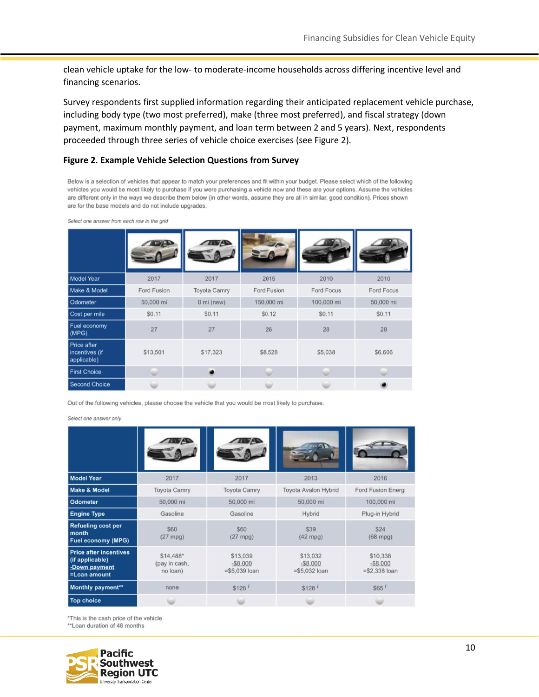clean vehicle uptake for the low- to moderate-income households across differing incentive level and financing scenarios.

Survey respondents first supplied information regarding their anticipated replacement vehicle purchase, including body type (two most preferred), make (three most preferred), and fiscal strategy (down payment, maximum monthly payment, and loan term between 2 and 5 years). Next, respondents proceeded through three series of vehicle choice exercises (see Figure 2).

#### **Figure 2. Example Vehicle Selection Questions from Survey**

Below is a selection of vehicles that appear to match your preferences and fit within your budget. Please select which of the following vehicles you would be most likely to purchase if you were purchasing a vehicle now and these are your options. Assume the vehicles are different only in the ways we describe them below (in other words, assume they are all in similar, good condition). Prices shown are for the base models and do not include upgrades.

| <b>Model Year</b>                            | 2017               | 2017                | 2015        | 2010       | 2010       |
|----------------------------------------------|--------------------|---------------------|-------------|------------|------------|
| Make & Model                                 | <b>Ford Fusion</b> | <b>Toyota Camry</b> | Ford Fusion | Ford Focus | Ford Focus |
| Odometer                                     | 50,000 mi          | 0 mi (new)          | 150,000 mi  | 100,000 mi | 50,000 mi  |
| Cost per mile                                | \$0.11             | \$0.11              | \$0.12      | \$0.11     | \$0.11     |
| Fuel economy<br>(MPG)                        | 27                 | 27                  | 26          | 28         | 28         |
| Price after<br>incentives (if<br>applicable) | \$13,501           |                     | \$8,528     | \$5,038    | \$6,606    |
| <b>First Choice</b>                          |                    |                     |             |            |            |
| <b>Second Choice</b>                         |                    |                     |             |            |            |

Select one answer from each row in the grid

Out of the following vehicles, please choose the vehicle that you would be most likely to purchase.

Select one answer only

| <b>Model Year</b>                                                                 | 2017                                   | 2017                                       | 2013                                       | 2016                                     |
|-----------------------------------------------------------------------------------|----------------------------------------|--------------------------------------------|--------------------------------------------|------------------------------------------|
| <b>Make &amp; Model</b>                                                           | <b>Toyota Camry</b>                    | <b>Toyota Camry</b>                        | <b>Toyota Avalon Hybrid</b>                | Ford Fusion Energi                       |
| <b>Odometer</b>                                                                   | 50,000 mi                              | 50,000 mi                                  | 50,000 mi                                  | 100,000 mi                               |
| <b>Engine Type</b>                                                                | Gasoline                               | Gasoline                                   | Hybrid                                     | Plug-in Hybrid                           |
| <b>Refueling cost per</b><br>month<br><b>Fuel economy (MPG)</b>                   | \$60<br>$(27$ mpg)                     | \$60<br>$(27$ mpg)                         | \$39<br>$(42$ mpg)                         | \$24<br>$(68$ mpg)                       |
| <b>Price after incentives</b><br>(if applicable)<br>-Down payment<br>=Loan amount | \$14,488*<br>(pay in cash,<br>no loan) | \$13,039<br>$-$ \$8,000<br>$= $5,039$ loan | \$13,032<br>$-$ \$8,000<br>$= $5,032$ loan | \$10,338<br>$-$8.000$<br>$= $2,338$ loan |
| Monthly payment**                                                                 | none                                   | \$128                                      | \$128                                      | \$65                                     |
| <b>Top choice</b>                                                                 |                                        |                                            |                                            |                                          |

\*This is the cash price of the vehicle \*\*Loan duration of 48 months

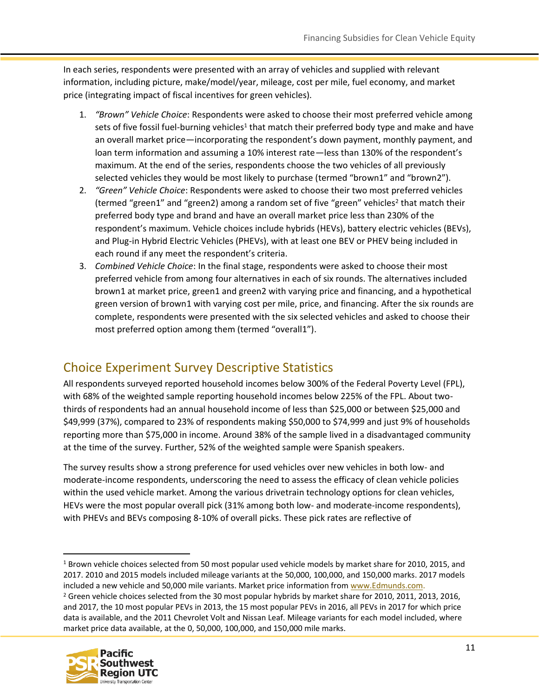In each series, respondents were presented with an array of vehicles and supplied with relevant information, including picture, make/model/year, mileage, cost per mile, fuel economy, and market price (integrating impact of fiscal incentives for green vehicles).

- 1. *"Brown" Vehicle Choice*: Respondents were asked to choose their most preferred vehicle among sets of five fossil fuel-burning vehicles<sup>1</sup> that match their preferred body type and make and have an overall market price—incorporating the respondent's down payment, monthly payment, and loan term information and assuming a 10% interest rate—less than 130% of the respondent's maximum. At the end of the series, respondents choose the two vehicles of all previously selected vehicles they would be most likely to purchase (termed "brown1" and "brown2").
- 2. *"Green" Vehicle Choice*: Respondents were asked to choose their two most preferred vehicles (termed "green1" and "green2) among a random set of five "green" vehicles<sup>2</sup> that match their preferred body type and brand and have an overall market price less than 230% of the respondent's maximum. Vehicle choices include hybrids (HEVs), battery electric vehicles (BEVs), and Plug-in Hybrid Electric Vehicles (PHEVs), with at least one BEV or PHEV being included in each round if any meet the respondent's criteria.
- 3. *Combined Vehicle Choice*: In the final stage, respondents were asked to choose their most preferred vehicle from among four alternatives in each of six rounds. The alternatives included brown1 at market price, green1 and green2 with varying price and financing, and a hypothetical green version of brown1 with varying cost per mile, price, and financing. After the six rounds are complete, respondents were presented with the six selected vehicles and asked to choose their most preferred option among them (termed "overall1").

#### <span id="page-10-0"></span>Choice Experiment Survey Descriptive Statistics

All respondents surveyed reported household incomes below 300% of the Federal Poverty Level (FPL), with 68% of the weighted sample reporting household incomes below 225% of the FPL. About twothirds of respondents had an annual household income of less than \$25,000 or between \$25,000 and \$49,999 (37%), compared to 23% of respondents making \$50,000 to \$74,999 and just 9% of households reporting more than \$75,000 in income. Around 38% of the sample lived in a disadvantaged community at the time of the survey. Further, 52% of the weighted sample were Spanish speakers.

The survey results show a strong preference for used vehicles over new vehicles in both low- and moderate-income respondents, underscoring the need to assess the efficacy of clean vehicle policies within the used vehicle market. Among the various drivetrain technology options for clean vehicles, HEVs were the most popular overall pick (31% among both low- and moderate-income respondents), with PHEVs and BEVs composing 8-10% of overall picks. These pick rates are reflective of

<sup>&</sup>lt;sup>2</sup> Green vehicle choices selected from the 30 most popular hybrids by market share for 2010, 2011, 2013, 2016, and 2017, the 10 most popular PEVs in 2013, the 15 most popular PEVs in 2016, all PEVs in 2017 for which price data is available, and the 2011 Chevrolet Volt and Nissan Leaf. Mileage variants for each model included, where market price data available, at the 0, 50,000, 100,000, and 150,000 mile marks.



<sup>&</sup>lt;sup>1</sup> Brown vehicle choices selected from 50 most popular used vehicle models by market share for 2010, 2015, and 2017. 2010 and 2015 models included mileage variants at the 50,000, 100,000, and 150,000 marks. 2017 models included a new vehicle and 50,000 mile variants. Market price information fro[m www.Edmunds.com.](http://www.edmunds.com/)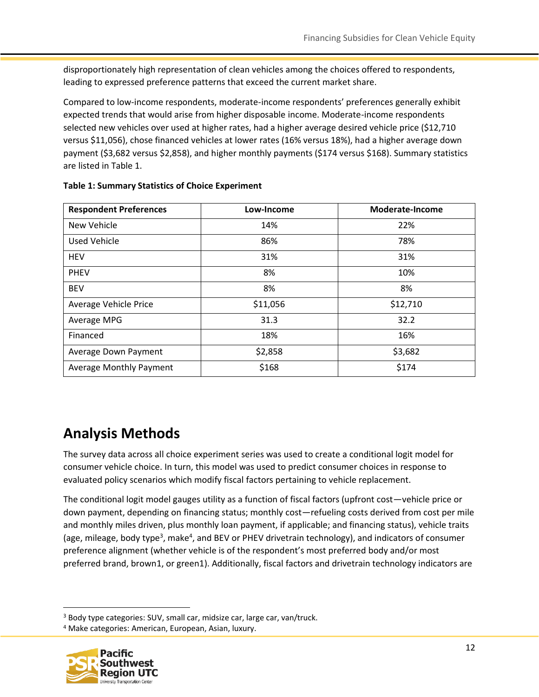disproportionately high representation of clean vehicles among the choices offered to respondents, leading to expressed preference patterns that exceed the current market share.

Compared to low-income respondents, moderate-income respondents' preferences generally exhibit expected trends that would arise from higher disposable income. Moderate-income respondents selected new vehicles over used at higher rates, had a higher average desired vehicle price (\$12,710 versus \$11,056), chose financed vehicles at lower rates (16% versus 18%), had a higher average down payment (\$3,682 versus \$2,858), and higher monthly payments (\$174 versus \$168). Summary statistics are listed in Table 1.

| <b>Respondent Preferences</b>  | Low-Income | Moderate-Income |
|--------------------------------|------------|-----------------|
| <b>New Vehicle</b>             | 14%        | 22%             |
| <b>Used Vehicle</b>            | 86%        | 78%             |
| <b>HEV</b>                     | 31%        | 31%             |
| <b>PHEV</b>                    | 8%         | 10%             |
| <b>BEV</b>                     | 8%         | 8%              |
| Average Vehicle Price          | \$11,056   | \$12,710        |
| Average MPG                    | 31.3       | 32.2            |
| Financed                       | 18%        | 16%             |
| Average Down Payment           | \$2,858    | \$3,682         |
| <b>Average Monthly Payment</b> | \$168      | \$174           |

#### **Table 1: Summary Statistics of Choice Experiment**

## <span id="page-11-0"></span>**Analysis Methods**

The survey data across all choice experiment series was used to create a conditional logit model for consumer vehicle choice. In turn, this model was used to predict consumer choices in response to evaluated policy scenarios which modify fiscal factors pertaining to vehicle replacement.

The conditional logit model gauges utility as a function of fiscal factors (upfront cost—vehicle price or down payment, depending on financing status; monthly cost—refueling costs derived from cost per mile and monthly miles driven, plus monthly loan payment, if applicable; and financing status), vehicle traits (age, mileage, body type<sup>3</sup>, make<sup>4</sup>, and BEV or PHEV drivetrain technology), and indicators of consumer preference alignment (whether vehicle is of the respondent's most preferred body and/or most preferred brand, brown1, or green1). Additionally, fiscal factors and drivetrain technology indicators are

<sup>4</sup> Make categories: American, European, Asian, luxury.



<sup>3</sup> Body type categories: SUV, small car, midsize car, large car, van/truck.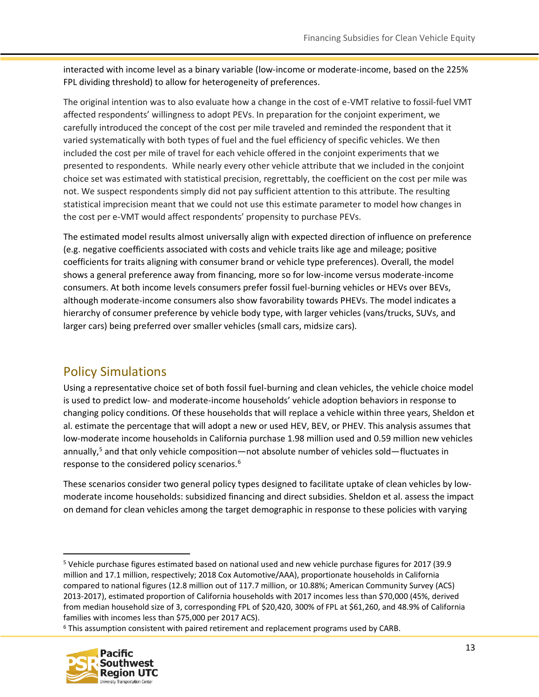interacted with income level as a binary variable (low-income or moderate-income, based on the 225% FPL dividing threshold) to allow for heterogeneity of preferences.

The original intention was to also evaluate how a change in the cost of e-VMT relative to fossil-fuel VMT affected respondents' willingness to adopt PEVs. In preparation for the conjoint experiment, we carefully introduced the concept of the cost per mile traveled and reminded the respondent that it varied systematically with both types of fuel and the fuel efficiency of specific vehicles. We then included the cost per mile of travel for each vehicle offered in the conjoint experiments that we presented to respondents. While nearly every other vehicle attribute that we included in the conjoint choice set was estimated with statistical precision, regrettably, the coefficient on the cost per mile was not. We suspect respondents simply did not pay sufficient attention to this attribute. The resulting statistical imprecision meant that we could not use this estimate parameter to model how changes in the cost per e-VMT would affect respondents' propensity to purchase PEVs.

The estimated model results almost universally align with expected direction of influence on preference (e.g. negative coefficients associated with costs and vehicle traits like age and mileage; positive coefficients for traits aligning with consumer brand or vehicle type preferences). Overall, the model shows a general preference away from financing, more so for low-income versus moderate-income consumers. At both income levels consumers prefer fossil fuel-burning vehicles or HEVs over BEVs, although moderate-income consumers also show favorability towards PHEVs. The model indicates a hierarchy of consumer preference by vehicle body type, with larger vehicles (vans/trucks, SUVs, and larger cars) being preferred over smaller vehicles (small cars, midsize cars).

#### <span id="page-12-0"></span>Policy Simulations

Using a representative choice set of both fossil fuel-burning and clean vehicles, the vehicle choice model is used to predict low- and moderate-income households' vehicle adoption behaviors in response to changing policy conditions. Of these households that will replace a vehicle within three years, Sheldon et al. estimate the percentage that will adopt a new or used HEV, BEV, or PHEV. This analysis assumes that low-moderate income households in California purchase 1.98 million used and 0.59 million new vehicles annually,<sup>5</sup> and that only vehicle composition—not absolute number of vehicles sold—fluctuates in response to the considered policy scenarios.<sup>6</sup>

These scenarios consider two general policy types designed to facilitate uptake of clean vehicles by lowmoderate income households: subsidized financing and direct subsidies. Sheldon et al. assess the impact on demand for clean vehicles among the target demographic in response to these policies with varying

<sup>6</sup> This assumption consistent with paired retirement and replacement programs used by CARB.



<sup>5</sup> Vehicle purchase figures estimated based on national used and new vehicle purchase figures for 2017 (39.9 million and 17.1 million, respectively; 2018 Cox Automotive/AAA), proportionate households in California compared to national figures (12.8 million out of 117.7 million, or 10.88%; American Community Survey (ACS) 2013-2017), estimated proportion of California households with 2017 incomes less than \$70,000 (45%, derived from median household size of 3, corresponding FPL of \$20,420, 300% of FPL at \$61,260, and 48.9% of California families with incomes less than \$75,000 per 2017 ACS).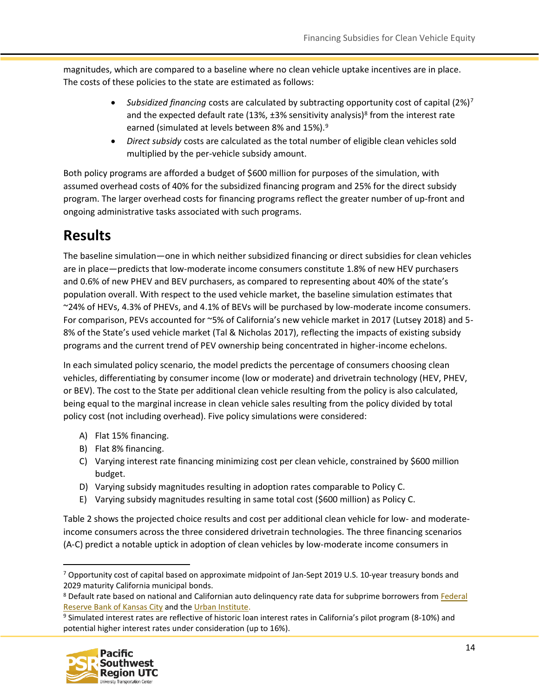magnitudes, which are compared to a baseline where no clean vehicle uptake incentives are in place. The costs of these policies to the state are estimated as follows:

- *Subsidized financing* costs are calculated by subtracting opportunity cost of capital (2%)<sup>7</sup> and the expected default rate (13%, ±3% sensitivity analysis)<sup>8</sup> from the interest rate earned (simulated at levels between 8% and 15%).<sup>9</sup>
- *Direct subsidy* costs are calculated as the total number of eligible clean vehicles sold multiplied by the per-vehicle subsidy amount.

Both policy programs are afforded a budget of \$600 million for purposes of the simulation, with assumed overhead costs of 40% for the subsidized financing program and 25% for the direct subsidy program. The larger overhead costs for financing programs reflect the greater number of up-front and ongoing administrative tasks associated with such programs.

## <span id="page-13-0"></span>**Results**

The baseline simulation—one in which neither subsidized financing or direct subsidies for clean vehicles are in place—predicts that low-moderate income consumers constitute 1.8% of new HEV purchasers and 0.6% of new PHEV and BEV purchasers, as compared to representing about 40% of the state's population overall. With respect to the used vehicle market, the baseline simulation estimates that ~24% of HEVs, 4.3% of PHEVs, and 4.1% of BEVs will be purchased by low-moderate income consumers. For comparison, PEVs accounted for ~5% of California's new vehicle market in 2017 (Lutsey 2018) and 5- 8% of the State's used vehicle market (Tal & Nicholas 2017), reflecting the impacts of existing subsidy programs and the current trend of PEV ownership being concentrated in higher-income echelons.

In each simulated policy scenario, the model predicts the percentage of consumers choosing clean vehicles, differentiating by consumer income (low or moderate) and drivetrain technology (HEV, PHEV, or BEV). The cost to the State per additional clean vehicle resulting from the policy is also calculated, being equal to the marginal increase in clean vehicle sales resulting from the policy divided by total policy cost (not including overhead). Five policy simulations were considered:

- A) Flat 15% financing.
- B) Flat 8% financing.
- C) Varying interest rate financing minimizing cost per clean vehicle, constrained by \$600 million budget.
- D) Varying subsidy magnitudes resulting in adoption rates comparable to Policy C.
- E) Varying subsidy magnitudes resulting in same total cost (\$600 million) as Policy C.

Table 2 shows the projected choice results and cost per additional clean vehicle for low- and moderateincome consumers across the three considered drivetrain technologies. The three financing scenarios (A-C) predict a notable uptick in adoption of clean vehicles by low-moderate income consumers in

<sup>9</sup> Simulated interest rates are reflective of historic loan interest rates in California's pilot program (8-10%) and potential higher interest rates under consideration (up to 16%).



<sup>7</sup> Opportunity cost of capital based on approximate midpoint of Jan-Sept 2019 U.S. 10-year treasury bonds and 2029 maturity California municipal bonds.

<sup>&</sup>lt;sup>8</sup> Default rate based on national and Californian auto delinquency rate data for subprime borrowers from Federal [Reserve Bank of Kansas City](https://www.kansascityfed.org/en/publications/research/mb/articles/2018/auto-loan-delinquency-rates-rising) and th[e Urban Institute.](https://apps.urban.org/features/debt-interactive-map/)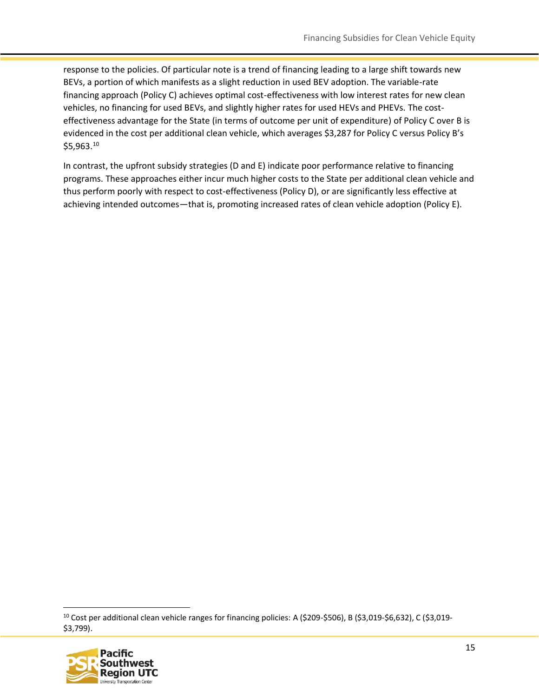response to the policies. Of particular note is a trend of financing leading to a large shift towards new BEVs, a portion of which manifests as a slight reduction in used BEV adoption. The variable-rate financing approach (Policy C) achieves optimal cost-effectiveness with low interest rates for new clean vehicles, no financing for used BEVs, and slightly higher rates for used HEVs and PHEVs. The costeffectiveness advantage for the State (in terms of outcome per unit of expenditure) of Policy C over B is evidenced in the cost per additional clean vehicle, which averages \$3,287 for Policy C versus Policy B's \$5,963.<sup>10</sup>

In contrast, the upfront subsidy strategies (D and E) indicate poor performance relative to financing programs. These approaches either incur much higher costs to the State per additional clean vehicle and thus perform poorly with respect to cost-effectiveness (Policy D), or are significantly less effective at achieving intended outcomes—that is, promoting increased rates of clean vehicle adoption (Policy E).

<sup>10</sup> Cost per additional clean vehicle ranges for financing policies: A (\$209-\$506), B (\$3,019-\$6,632), C (\$3,019- \$3,799).

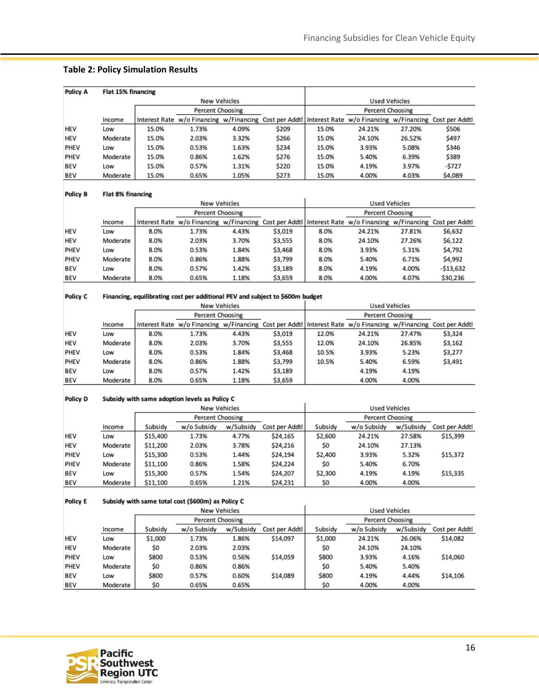#### **Table 2: Policy Simulation Results**

| Policy A |          | Flat 15% financing |                                                                                                                 |              |       |       |                      |        |         |  |  |
|----------|----------|--------------------|-----------------------------------------------------------------------------------------------------------------|--------------|-------|-------|----------------------|--------|---------|--|--|
|          |          |                    |                                                                                                                 | New Vehicles |       |       | <b>Used Vehicles</b> |        |         |  |  |
|          |          |                    | Percent Choosing                                                                                                |              |       |       | Percent Choosing     |        |         |  |  |
|          | Income   |                    | Interest Rate w/o Financing w/Financing Cost per Addtl   Interest Rate w/o Financing w/Financing Cost per Addtl |              |       |       |                      |        |         |  |  |
| HEV      | Low      | 15.0%              | 1.73%                                                                                                           | 4.09%        | \$209 | 15.0% | 24.21%               | 27.20% | \$506   |  |  |
| HEV      | Moderate | 15.0%              | 2.03%                                                                                                           | 3.32%        | \$266 | 15.0% | 24.10%               | 26.52% | \$497   |  |  |
| PHEV     | Low      | 15.0%              | 0.53%                                                                                                           | 1.63%        | \$234 | 15.0% | 3.93%                | 5.08%  | \$346   |  |  |
| PHEV     | Moderate | 15.0%              | 0.86%                                                                                                           | 1.62%        | \$276 | 15.0% | 5.40%                | 6.39%  | \$389   |  |  |
| BEV      | Low      | 15.0%              | 0.57%                                                                                                           | 1.31%        | \$220 | 15.0% | 4.19%                | 3.97%  | -\$727  |  |  |
| BEV      | Moderate | 15.0%              | 0.65%                                                                                                           | 1.05%        | \$273 | 15.0% | 4.00%                | 4.03%  | \$4,089 |  |  |

#### Policy B Flat 8% financing

| New Vehicles |          |      |                                                                                                                 |       |         |                  | <b>Used Vehicles</b> |        |           |
|--------------|----------|------|-----------------------------------------------------------------------------------------------------------------|-------|---------|------------------|----------------------|--------|-----------|
|              |          |      | Percent Choosing                                                                                                |       |         | Percent Choosing |                      |        |           |
|              | Income   |      | Interest Rate w/o Financing w/Financing Cost per Addtl   Interest Rate w/o Financing w/Financing Cost per Addtl |       |         |                  |                      |        |           |
| HEV          | Low      | 8.0% | 1.73%                                                                                                           | 4.43% | \$3,019 | 8.0%             | 24.21%               | 27.81% | \$6,632   |
| HEV          | Moderate | 8.0% | 2.03%                                                                                                           | 3.70% | \$3,555 | 8.0%             | 24.10%               | 27.26% | \$6,122   |
| PHEV         | Low      | 8.0% | 0.53%                                                                                                           | 1.84% | \$3,468 | 8.0%             | 3.93%                | 5.31%  | \$4,792   |
| PHEV         | Moderate | 8.0% | 0.86%                                                                                                           | 1.88% | \$3,799 | 8.0%             | 5.40%                | 6.71%  | \$4,992   |
| BEV          | Low      | 8.0% | 0.57%                                                                                                           | 1.42% | \$3,189 | 8.0%             | 4.19%                | 4.00%  | -\$13,632 |
| BEV          | Moderate | 8.0% | 0.65%                                                                                                           | 1.18% | \$3,659 | 8.0%             | 4.00%                | 4.07%  | \$30,236  |

#### Policy C Financing, equilibrating cost per additional PEV and subject to \$600m budget

| New Vehicles |          |      |                                                                                                               |       |         |       | <b>Used Vehicles</b> |        |         |
|--------------|----------|------|---------------------------------------------------------------------------------------------------------------|-------|---------|-------|----------------------|--------|---------|
|              |          |      | Percent Choosing                                                                                              |       |         |       | Percent Choosing     |        |         |
|              | Income   |      | Interest Rate w/o Financing w/Financing Cost per Addtl Interest Rate w/o Financing w/Financing Cost per Addtl |       |         |       |                      |        |         |
| <b>HEV</b>   | Low      | 8.0% | 1.73%                                                                                                         | 4.43% | \$3,019 | 12.0% | 24.21%               | 27.47% | \$3,324 |
| HEV          | Moderate | 8.0% | 2.03%                                                                                                         | 3.70% | \$3,555 | 12.0% | 24.10%               | 26.85% | \$3,162 |
| PHEV         | Low      | 8.0% | 0.53%                                                                                                         | 1.84% | \$3,468 | 10.5% | 3.93%                | 5.23%  | \$3,277 |
| PHEV         | Moderate | 8.0% | 0.86%                                                                                                         | 1.88% | \$3,799 | 10.5% | 5.40%                | 6.59%  | \$3,491 |
| BEV          | Low      | 8.0% | 0.57%                                                                                                         | 1.42% | \$3,189 |       | 4.19%                | 4.19%  |         |
| BEV          | Moderate | 8.0% | 0.65%                                                                                                         | 1.18% | \$3,659 |       | 4.00%                | 4.00%  |         |

#### Policy D Subsidy with same adoption levels as Policy C

|            |          | New Vehicles |                  |           |                |         | Used Vehicles    |           |                |
|------------|----------|--------------|------------------|-----------|----------------|---------|------------------|-----------|----------------|
|            |          |              | Percent Choosing |           |                |         | Percent Choosing |           |                |
|            | Income   | Subsidy      | w/o Subsidy      | w/Subsidy | Cost per Addtl | Subsidy | w/o Subsidy      | w/Subsidy | Cost per Addtl |
| HEV        | Low      | \$15,400     | 1.73%            | 4.77%     | \$24,165       | \$2,600 | 24.21%           | 27.58%    | \$15,399       |
| <b>HEV</b> | Moderate | \$11,200     | 2.03%            | 3.78%     | \$24,216       | \$0     | 24.10%           | 27.13%    |                |
| PHEV       | Low      | \$15,300     | 0.53%            | 1.44%     | \$24,194       | \$2,400 | 3.93%            | 5.32%     | \$15,372       |
| PHEV       | Moderate | \$11,100     | 0.86%            | 1.58%     | \$24,224       | \$0     | 5.40%            | 6.70%     |                |
| BEV        | Low      | \$15,300     | 0.57%            | 1.54%     | \$24,207       | \$2,300 | 4.19%            | 4.19%     | \$15,335       |
| BEV        | Moderate | \$11,100     | 0.65%            | 1.21%     | \$24,231       | \$0     | 4.00%            | 4.00%     |                |

#### Subsidy with same total cost (\$600m) as Policy C Policy E

|            |          |         | New Vehicles     |           |                | <b>Used Vehicles</b> |                  |           |                |
|------------|----------|---------|------------------|-----------|----------------|----------------------|------------------|-----------|----------------|
|            |          |         | Percent Choosing |           |                |                      | Percent Choosing |           |                |
|            | Income   | Subsidy | w/o Subsidy      | w/Subsidy | Cost per Addtl | Subsidy              | w/o Subsidy      | w/Subsidy | Cost per Addtl |
| <b>HEV</b> | Low      | \$1,000 | 1.73%            | 1.86%     | \$14,097       | \$1,000              | 24.21%           | 26.06%    | \$14,082       |
| <b>HEV</b> | Moderate | \$0     | 2.03%            | 2.03%     |                | \$0                  | 24.10%           | 24.10%    |                |
| PHEV       | Low      | \$800   | 0.53%            | 0.56%     | \$14,059       | \$800                | 3.93%            | 4.16%     | \$14,060       |
| PHEV       | Moderate | \$0     | 0.86%            | 0.86%     |                | \$0                  | 5.40%            | 5.40%     |                |
| BEV        | Low      | \$800   | 0.57%            | 0.60%     | \$14,089       | \$800                | 4.19%            | 4.44%     | \$14,106       |
| BEV        | Moderate | \$0     | 0.65%            | 0.65%     |                | \$0                  | 4.00%            | 4.00%     |                |

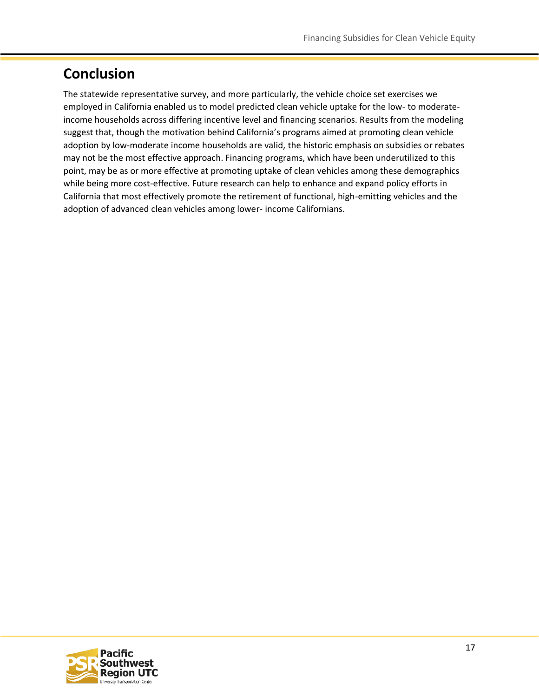## **Conclusion**

The statewide representative survey, and more particularly, the vehicle choice set exercises we employed in California enabled us to model predicted clean vehicle uptake for the low- to moderateincome households across differing incentive level and financing scenarios. Results from the modeling suggest that, though the motivation behind California's programs aimed at promoting clean vehicle adoption by low-moderate income households are valid, the historic emphasis on subsidies or rebates may not be the most effective approach. Financing programs, which have been underutilized to this point, may be as or more effective at promoting uptake of clean vehicles among these demographics while being more cost-effective. Future research can help to enhance and expand policy efforts in California that most effectively promote the retirement of functional, high-emitting vehicles and the adoption of advanced clean vehicles among lower- income Californians.

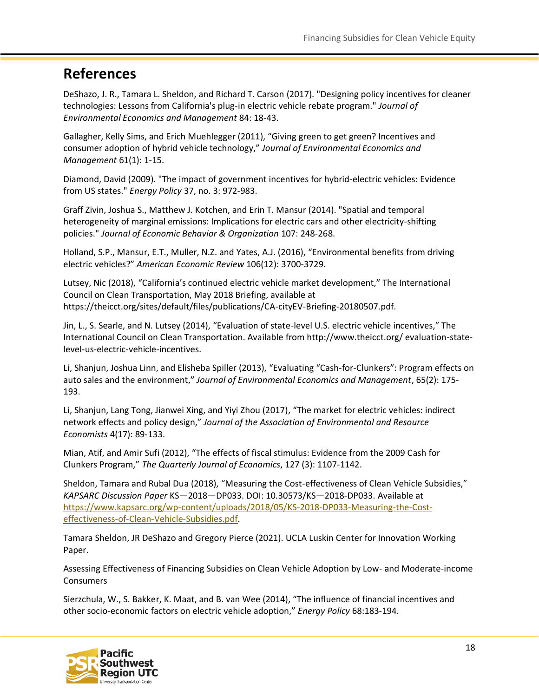#### <span id="page-17-0"></span>**References**

DeShazo, J. R., Tamara L. Sheldon, and Richard T. Carson (2017). "Designing policy incentives for cleaner technologies: Lessons from California's plug-in electric vehicle rebate program." *Journal of Environmental Economics and Management* 84: 18-43.

Gallagher, Kelly Sims, and Erich Muehlegger (2011), "Giving green to get green? Incentives and consumer adoption of hybrid vehicle technology," *Journal of Environmental Economics and Management* 61(1): 1-15.

Diamond, David (2009). "The impact of government incentives for hybrid-electric vehicles: Evidence from US states." *Energy Policy* 37, no. 3: 972-983.

Graff Zivin, Joshua S., Matthew J. Kotchen, and Erin T. Mansur (2014). "Spatial and temporal heterogeneity of marginal emissions: Implications for electric cars and other electricity-shifting policies." *Journal of Economic Behavior & Organization* 107: 248-268.

Holland, S.P., Mansur, E.T., Muller, N.Z. and Yates, A.J. (2016), "Environmental benefits from driving electric vehicles?" *American Economic Review* 106(12): 3700-3729.

Lutsey, Nic (2018), "California's continued electric vehicle market development," The International Council on Clean Transportation, May 2018 Briefing, available at https://theicct.org/sites/default/files/publications/CA-cityEV-Briefing-20180507.pdf.

Jin, L., S. Searle, and N. Lutsey (2014), "Evaluation of state-level U.S. electric vehicle incentives," The International Council on Clean Transportation. Available from http://www.theicct.org/ evaluation-statelevel-us-electric-vehicle-incentives.

Li, Shanjun, Joshua Linn, and Elisheba Spiller (2013), "Evaluating "Cash-for-Clunkers": Program effects on auto sales and the environment," *Journal of Environmental Economics and Management*, 65(2): 175- 193.

Li, Shanjun, Lang Tong, Jianwei Xing, and Yiyi Zhou (2017), "The market for electric vehicles: indirect network effects and policy design," *Journal of the Association of Environmental and Resource Economists* 4(17): 89-133.

Mian, Atif, and Amir Sufi (2012), "The effects of fiscal stimulus: Evidence from the 2009 Cash for Clunkers Program," *The Quarterly Journal of Economics*, 127 (3): 1107-1142.

Sheldon, Tamara and Rubal Dua (2018), "Measuring the Cost-effectiveness of Clean Vehicle Subsidies," *KAPSARC Discussion Paper* KS—2018—DP033. DOI: 10.30573/KS—2018-DP033. Available at [https://www.kapsarc.org/wp-content/uploads/2018/05/KS-2018-DP033-Measuring-the-Cost](https://www.kapsarc.org/wp-content/uploads/2018/05/KS-2018-DP033-Measuring-the-Cost-effectiveness-of-Clean-Vehicle-Subsidies.pdf)[effectiveness-of-Clean-Vehicle-Subsidies.pdf.](https://www.kapsarc.org/wp-content/uploads/2018/05/KS-2018-DP033-Measuring-the-Cost-effectiveness-of-Clean-Vehicle-Subsidies.pdf)

Tamara Sheldon, JR DeShazo and Gregory Pierce (2021). UCLA Luskin Center for Innovation Working Paper.

Assessing Effectiveness of Financing Subsidies on Clean Vehicle Adoption by Low- and Moderate-income Consumers

Sierzchula, W., S. Bakker, K. Maat, and B. van Wee (2014), "The influence of financial incentives and other socio-economic factors on electric vehicle adoption," *Energy Policy* 68:183-194.

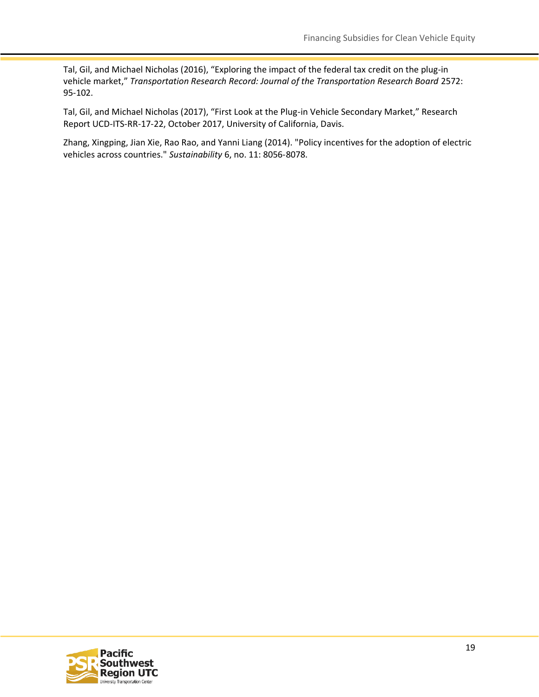Tal, Gil, and Michael Nicholas (2016), "Exploring the impact of the federal tax credit on the plug-in vehicle market," *Transportation Research Record: Journal of the Transportation Research Board* 2572: 95-102.

Tal, Gil, and Michael Nicholas (2017), "First Look at the Plug-in Vehicle Secondary Market," Research Report UCD-ITS-RR-17-22, October 2017, University of California, Davis.

Zhang, Xingping, Jian Xie, Rao Rao, and Yanni Liang (2014). "Policy incentives for the adoption of electric vehicles across countries." *Sustainability* 6, no. 11: 8056-8078.

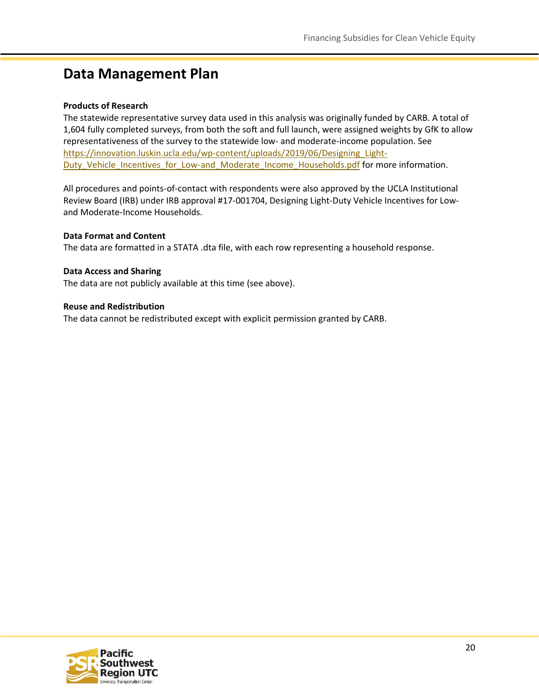#### <span id="page-19-0"></span>**Data Management Plan**

#### **Products of Research**

The statewide representative survey data used in this analysis was originally funded by CARB. A total of 1,604 fully completed surveys, from both the soft and full launch, were assigned weights by GfK to allow representativeness of the survey to the statewide low- and moderate-income population. See [https://innovation.luskin.ucla.edu/wp-content/uploads/2019/06/Designing\\_Light-](https://innovation.luskin.ucla.edu/wp-content/uploads/2019/06/Designing_Light-Duty_Vehicle_Incentives_for_Low-and_Moderate_Income_Households.pdf)[Duty\\_Vehicle\\_Incentives\\_for\\_Low-and\\_Moderate\\_Income\\_Households.pdf](https://innovation.luskin.ucla.edu/wp-content/uploads/2019/06/Designing_Light-Duty_Vehicle_Incentives_for_Low-and_Moderate_Income_Households.pdf) for more information.

All procedures and points-of-contact with respondents were also approved by the UCLA Institutional Review Board (IRB) under IRB approval #17-001704, Designing Light-Duty Vehicle Incentives for Lowand Moderate-Income Households.

#### **Data Format and Content**

The data are formatted in a STATA .dta file, with each row representing a household response.

#### **Data Access and Sharing**

The data are not publicly available at this time (see above).

#### **Reuse and Redistribution**

The data cannot be redistributed except with explicit permission granted by CARB.